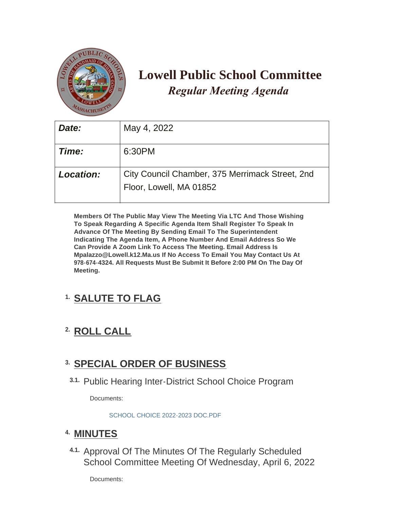

# **Lowell Public School Committee** *Regular Meeting Agenda*

| Date:            | May 4, 2022                                                                |
|------------------|----------------------------------------------------------------------------|
| Time:            | 6:30PM                                                                     |
| <b>Location:</b> | City Council Chamber, 375 Merrimack Street, 2nd<br>Floor, Lowell, MA 01852 |

**Members Of The Public May View The Meeting Via LTC And Those Wishing To Speak Regarding A Specific Agenda Item Shall Register To Speak In Advance Of The Meeting By Sending Email To The Superintendent Indicating The Agenda Item, A Phone Number And Email Address So We Can Provide A Zoom Link To Access The Meeting. Email Address Is Mpalazzo@Lowell.k12.Ma.us If No Access To Email You May Contact Us At 978-674-4324. All Requests Must Be Submit It Before 2:00 PM On The Day Of Meeting.**

# **SALUTE TO FLAG 1.**

# **ROLL CALL 2.**

# **SPECIAL ORDER OF BUSINESS 3.**

3.1. Public Hearing Inter-District School Choice Program

Documents:

[SCHOOL CHOICE 2022-2023 DOC.PDF](https://www.lowellma.gov/AgendaCenter/ViewFile/Item/19486?fileID=42470)

# **MINUTES 4.**

4.1. Approval Of The Minutes Of The Regularly Scheduled School Committee Meeting Of Wednesday, April 6, 2022

Documents: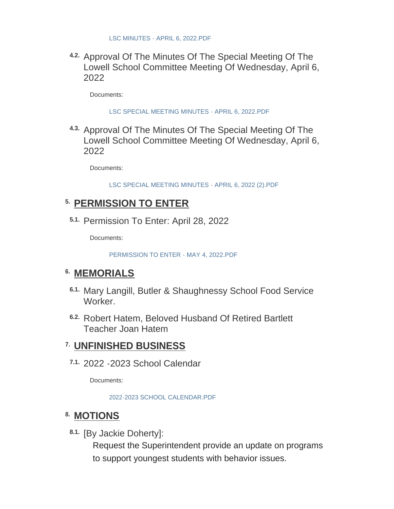4.2. Approval Of The Minutes Of The Special Meeting Of The Lowell School Committee Meeting Of Wednesday, April 6, 2022

Documents:

[LSC SPECIAL MEETING MINUTES - APRIL 6, 2022.PDF](https://www.lowellma.gov/AgendaCenter/ViewFile/Item/19478?fileID=42465)

4.3. Approval Of The Minutes Of The Special Meeting Of The Lowell School Committee Meeting Of Wednesday, April 6, 2022

Documents:

[LSC SPECIAL MEETING MINUTES - APRIL 6, 2022 \(2\).PDF](https://www.lowellma.gov/AgendaCenter/ViewFile/Item/19692?fileID=42468)

# **PERMISSION TO ENTER 5.**

5.1. Permission To Enter: April 28, 2022

Documents:

[PERMISSION TO ENTER - MAY 4, 2022.PDF](https://www.lowellma.gov/AgendaCenter/ViewFile/Item/19575?fileID=42448)

## **MEMORIALS 6.**

- Mary Langill, Butler & Shaughnessy School Food Service **6.1. Worker**
- Robert Hatem, Beloved Husband Of Retired Bartlett **6.2.** Teacher Joan Hatem

# **UNFINISHED BUSINESS 7.**

7.1. 2022 -2023 School Calendar

Documents:

[2022-2023 SCHOOL CALENDAR.PDF](https://www.lowellma.gov/AgendaCenter/ViewFile/Item/19661?fileID=42441)

# **MOTIONS 8.**

8.1. [By Jackie Doherty]:

Request the Superintendent provide an update on programs to support youngest students with behavior issues.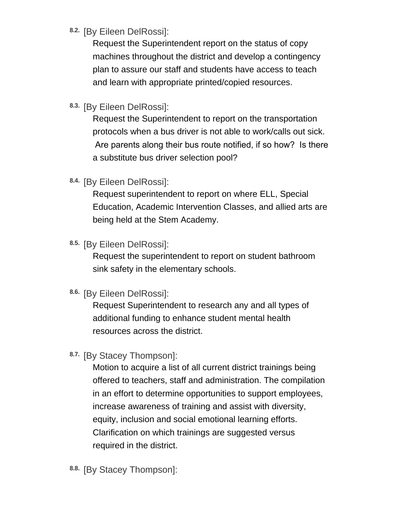# <sup>8.2.</sup> [By Eileen DelRossi]:

Request the Superintendent report on the status of copy machines throughout the district and develop a contingency plan to assure our staff and students have access to teach and learn with appropriate printed/copied resources.

8.3. [By Eileen DelRossi]:

Request the Superintendent to report on the transportation protocols when a bus driver is not able to work/calls out sick. Are parents along their bus route notified, if so how? Is there a substitute bus driver selection pool?

8.4. [By Eileen DelRossi]:

Request superintendent to report on where ELL, Special Education, Academic Intervention Classes, and allied arts are being held at the Stem Academy.

<sup>8.5.</sup> [By Eileen DelRossi]:

Request the superintendent to report on student bathroom sink safety in the elementary schools.

<sup>8.6.</sup> [By Eileen DelRossi]:

Request Superintendent to research any and all types of additional funding to enhance student mental health resources across the district.

8.7. [By Stacey Thompson]:

Motion to acquire a list of all current district trainings being offered to teachers, staff and administration. The compilation in an effort to determine opportunities to support employees, increase awareness of training and assist with diversity, equity, inclusion and social emotional learning efforts. Clarification on which trainings are suggested versus required in the district.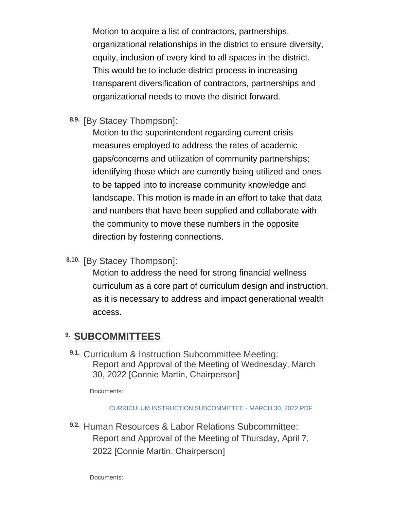Motion to acquire a list of contractors, partnerships, organizational relationships in the district to ensure diversity, equity, inclusion of every kind to all spaces in the district. This would be to include district process in increasing transparent diversification of contractors, partnerships and organizational needs to move the district forward.

8.9. [By Stacey Thompson]:

Motion to the superintendent regarding current crisis measures employed to address the rates of academic gaps/concerns and utilization of community partnerships; identifying those which are currently being utilized and ones to be tapped into to increase community knowledge and landscape. This motion is made in an effort to take that data and numbers that have been supplied and collaborate with the community to move these numbers in the opposite direction by fostering connections.

8.10. [By Stacey Thompson]:

Motion to address the need for strong financial wellness curriculum as a core part of curriculum design and instruction, as it is necessary to address and impact generational wealth access.

### **SUBCOMMITTEES 9.**

9.1. Curriculum & Instruction Subcommittee Meeting: Report and Approval of the Meeting of Wednesday, March 30, 2022 [Connie Martin, Chairperson]

Documents:

[CURRICULUM INSTRUCTION SUBCOMMITTEE - MARCH 30, 2022.PDF](https://www.lowellma.gov/AgendaCenter/ViewFile/Item/19481?fileID=42461)

Human Resources & Labor Relations Subcommittee: **9.2.** Report and Approval of the Meeting of Thursday, April 7, 2022 [Connie Martin, Chairperson]

Documents: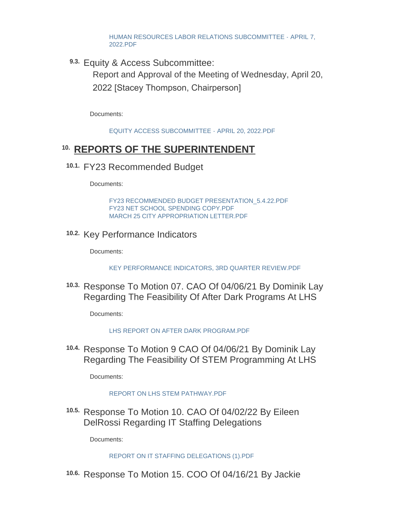[HUMAN RESOURCES LABOR RELATIONS SUBCOMMITTEE - APRIL 7,](https://www.lowellma.gov/AgendaCenter/ViewFile/Item/19688?fileID=42462)  2022.PDF

Equity & Access Subcommittee: **9.3.**

Report and Approval of the Meeting of Wednesday, April 20, 2022 [Stacey Thompson, Chairperson]

Documents:

[EQUITY ACCESS SUBCOMMITTEE - APRIL 20, 2022.PDF](https://www.lowellma.gov/AgendaCenter/ViewFile/Item/19689?fileID=42463)

# **REPORTS OF THE SUPERINTENDENT 10.**

FY23 Recommended Budget **10.1.**

Documents:

[FY23 RECOMMENDED BUDGET PRESENTATION\\_5.4.22.PDF](https://www.lowellma.gov/AgendaCenter/ViewFile/Item/19480?fileID=43210) [FY23 NET SCHOOL SPENDING COPY.PDF](https://www.lowellma.gov/AgendaCenter/ViewFile/Item/19480?fileID=42452) [MARCH 25 CITY APPROPRIATION LETTER.PDF](https://www.lowellma.gov/AgendaCenter/ViewFile/Item/19480?fileID=42453)

10.2. Key Performance Indicators

Documents:

[KEY PERFORMANCE INDICATORS, 3RD QUARTER REVIEW.PDF](https://www.lowellma.gov/AgendaCenter/ViewFile/Item/19682?fileID=42454)

10.3. Response To Motion 07. CAO Of 04/06/21 By Dominik Lay Regarding The Feasibility Of After Dark Programs At LHS

Documents:

[LHS REPORT ON AFTER DARK PROGRAM.PDF](https://www.lowellma.gov/AgendaCenter/ViewFile/Item/19664?fileID=42446)

10.4. Response To Motion 9 CAO Of 04/06/21 By Dominik Lay Regarding The Feasibility Of STEM Programming At LHS

Documents:

#### [REPORT ON LHS STEM PATHWAY.PDF](https://www.lowellma.gov/AgendaCenter/ViewFile/Item/19662?fileID=42443)

10.5. Response To Motion 10. CAO Of 04/02/22 By Eileen DelRossi Regarding IT Staffing Delegations

Documents:

[REPORT ON IT STAFFING DELEGATIONS \(1\).PDF](https://www.lowellma.gov/AgendaCenter/ViewFile/Item/19584?fileID=42410)

10.6. Response To Motion 15. COO Of 04/16/21 By Jackie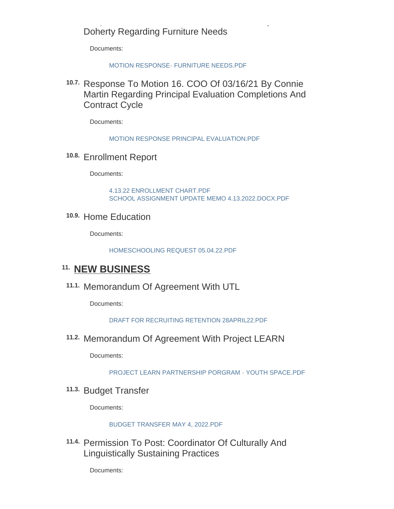### Response To Motion 15. COO Of 04/16/21 By Jackie Doherty Regarding Furniture Needs

Documents:

#### MOTION RESPONSE- FURNITURE NEEDS PDF

10.7. Response To Motion 16. COO Of 03/16/21 By Connie Martin Regarding Principal Evaluation Completions And Contract Cycle

Documents:

[MOTION RESPONSE PRINCIPAL EVALUATION.PDF](https://www.lowellma.gov/AgendaCenter/ViewFile/Item/19685?fileID=42457)

10.8. Enrollment Report

Documents:

[4.13.22 ENROLLMENT CHART.PDF](https://www.lowellma.gov/AgendaCenter/ViewFile/Item/19687?fileID=42459) [SCHOOL ASSIGNMENT UPDATE MEMO 4.13.2022.DOCX.PDF](https://www.lowellma.gov/AgendaCenter/ViewFile/Item/19687?fileID=42460)

10.9. Home Education

Documents:

[HOMESCHOOLING REQUEST 05.04.22.PDF](https://www.lowellma.gov/AgendaCenter/ViewFile/Item/19513?fileID=42445)

# **NEW BUSINESS 11.**

11.1. Memorandum Of Agreement With UTL

Documents:

[DRAFT FOR RECRUITING RETENTION 28APRIL22.PDF](https://www.lowellma.gov/AgendaCenter/ViewFile/Item/19691?fileID=42467)

11.2. Memorandum Of Agreement With Project LEARN

Documents:

[PROJECT LEARN PARTNERSHIP PORGRAM - YOUTH SPACE.PDF](https://www.lowellma.gov/AgendaCenter/ViewFile/Item/19660?fileID=42440)

<sup>11.3.</sup> Budget Transfer

Documents:

#### [BUDGET TRANSFER MAY 4, 2022.PDF](https://www.lowellma.gov/AgendaCenter/ViewFile/Item/19665?fileID=42447)

11.4. Permission To Post: Coordinator Of Culturally And Linguistically Sustaining Practices

Documents: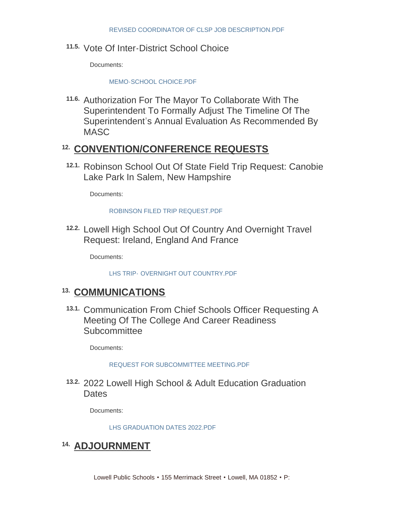11.5. Vote Of Inter-District School Choice

Documents:

#### [MEMO-SCHOOL CHOICE.PDF](https://www.lowellma.gov/AgendaCenter/ViewFile/Item/19504?fileID=42471)

11.6. Authorization For The Mayor To Collaborate With The Superintendent To Formally Adjust The Timeline Of The Superintendent's Annual Evaluation As Recommended By **MASC** 

# **CONVENTION/CONFERENCE REQUESTS 12.**

12.1. Robinson School Out Of State Field Trip Request: Canobie Lake Park In Salem, New Hampshire

Documents:

#### ROBINSON FILED TRIP REQUEST PDF

12.2. Lowell High School Out Of Country And Overnight Travel Request: Ireland, England And France

Documents:

LHS TRIP- [OVERNIGHT OUT COUNTRY.PDF](https://www.lowellma.gov/AgendaCenter/ViewFile/Item/19656?fileID=42439)

### 13. COMMUNICATIONS

13.1. Communication From Chief Schools Officer Requesting A Meeting Of The College And Career Readiness **Subcommittee** 

Documents:

#### [REQUEST FOR SUBCOMMITTEE MEETING.PDF](https://www.lowellma.gov/AgendaCenter/ViewFile/Item/19663?fileID=42444)

2022 Lowell High School & Adult Education Graduation **13.2. Dates** 

Documents:

[LHS GRADUATION DATES 2022.PDF](https://www.lowellma.gov/AgendaCenter/ViewFile/Item/19538?fileID=42069)

# <sup>14.</sup> ADJOURNMENT